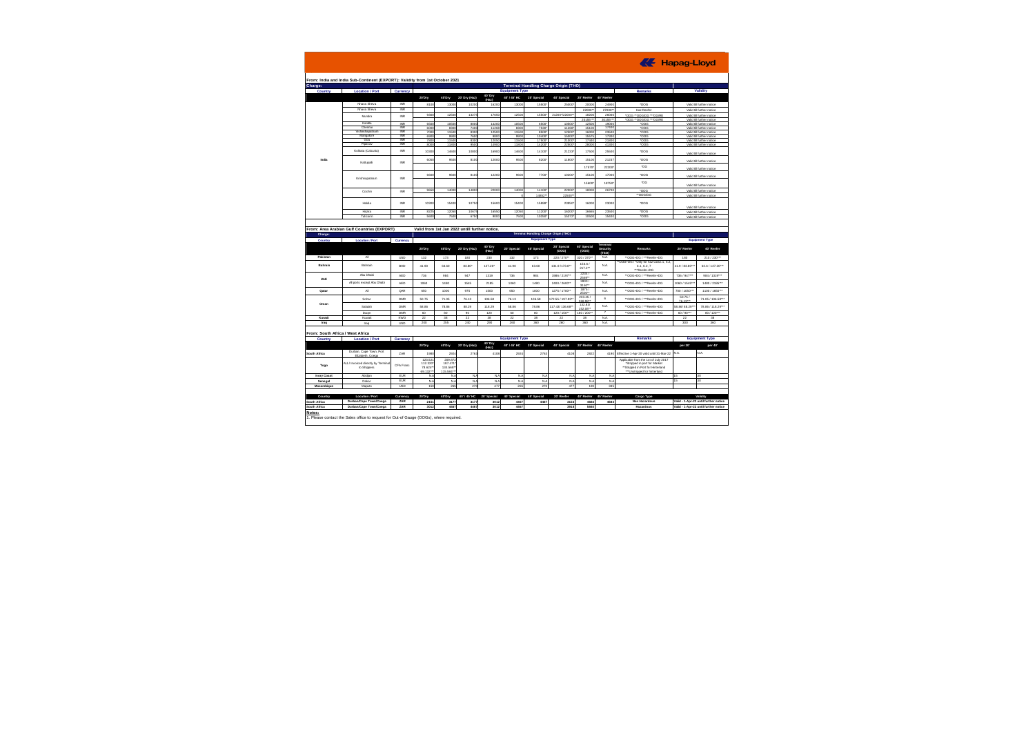| Charge:                            | From: India and India Sub-Continent (EXPORT): Validity from 1st October 2021 |                          |                                                |                               |                |                  |                       |                                       | <b>Terminal Handling Charge Origin (THO)</b> |                      |                   |                                                                                                          |                                                                                |                                                                                                                                                                                                                                   |  |
|------------------------------------|------------------------------------------------------------------------------|--------------------------|------------------------------------------------|-------------------------------|----------------|------------------|-----------------------|---------------------------------------|----------------------------------------------|----------------------|-------------------|----------------------------------------------------------------------------------------------------------|--------------------------------------------------------------------------------|-----------------------------------------------------------------------------------------------------------------------------------------------------------------------------------------------------------------------------------|--|
| Country                            | <b>Location / Port</b>                                                       | Currency                 |                                                |                               |                |                  | <b>Equipment Type</b> |                                       |                                              |                      |                   | <b>Remarks</b>                                                                                           |                                                                                | Validity                                                                                                                                                                                                                          |  |
|                                    |                                                                              |                          |                                                |                               |                | 40' Dry          |                       |                                       |                                              |                      |                   |                                                                                                          |                                                                                |                                                                                                                                                                                                                                   |  |
|                                    |                                                                              |                          | 20'Dry                                         | 40°Dry                        | 20"Dry (Haz)   | (Haz)            | 40"/45" HC            | 20' Soccial                           | 40' Special                                  | 20" Reefer           | 40° Reefer        |                                                                                                          |                                                                                |                                                                                                                                                                                                                                   |  |
|                                    | Nhava Sheva                                                                  | NR                       | 8100                                           | 13000                         | 10200          | 16200            | 13000                 | 15500                                 | 25000                                        | 2000                 | 24900             | '00G                                                                                                     |                                                                                | Valid till further notice                                                                                                                                                                                                         |  |
|                                    | Nhava Sheva                                                                  | $_{\rm NR}$              |                                                |                               |                |                  |                       |                                       |                                              | 22000*               | 27000*            | Haz Reefer                                                                                               |                                                                                | Valid till further notice                                                                                                                                                                                                         |  |
|                                    | Mindra                                                                       | <b>INR</b>               | 9300                                           | 12500                         | 1327           | 17650            | 12500                 | 15500*                                | 21200*/22000*                                | 18200                | 26000             | "00G ""OOG/DG ""DG/RE                                                                                    |                                                                                | Valid till further notice<br>Valid till further notice                                                                                                                                                                            |  |
|                                    |                                                                              |                          |                                                |                               |                |                  |                       |                                       |                                              | 20155*               | 30155**           | '00G "OOG/DG ""DG/RE                                                                                     |                                                                                |                                                                                                                                                                                                                                   |  |
|                                    | Kandia<br>Chennai                                                            | <b>INR</b><br><b>INR</b> | 6500<br>6000                                   | 10500<br>8300                 | 8000<br>7400   | 14200<br>11268   | 10506<br>8300         | 6500<br>7530*                         | 10500<br>11268                               | 12506<br>15100       | 19000<br>17400    | <b>.003</b><br>roos                                                                                      |                                                                                | Valid till further notice<br>Valid till further notice                                                                                                                                                                            |  |
|                                    | Vishakhapatn                                                                 | NR                       | 700                                            | 1150                          | 830            | 1250             | 1150                  | 8500                                  | 12500                                        | 1600                 | 23500             | *OOG                                                                                                     |                                                                                | Valid till further notice                                                                                                                                                                                                         |  |
|                                    | Mangalore                                                                    | <b>INR</b>               | 6900                                           | 9900                          | 7600           | 9800             | 9900                  | 10400*                                | 15000                                        | 15575                | 17300             | 'OOG                                                                                                     |                                                                                | Valid till further notice                                                                                                                                                                                                         |  |
|                                    | Goa<br>Pipavay                                                               | <b>NR</b><br><b>INR</b>  | 7800<br>800                                    | 11500<br>1180                 | 8300<br>950    | 12050<br>1490    | 11500<br>1180         | 17500<br>14200                        | 21000<br>22500                               | 17440<br>2800        | 21800<br>41300    | *OOG<br>*OOG                                                                                             |                                                                                | Valid till further notice                                                                                                                                                                                                         |  |
|                                    |                                                                              |                          |                                                |                               |                |                  |                       |                                       |                                              |                      |                   |                                                                                                          |                                                                                | Valid till further notice                                                                                                                                                                                                         |  |
|                                    | Koliata (Calcutta)                                                           | NR                       | 10300                                          | 14600                         | 10800          | 16900            | 14600                 | 14100                                 | 21233                                        | 17500                | 2550              | *OOG                                                                                                     |                                                                                | Valid till further notice                                                                                                                                                                                                         |  |
| India                              | Kattungli                                                                    | <b>INR</b>               | 6050                                           | 9500                          | 8100           | 12000            | 9500                  | 8200                                  | 11800                                        | 15100                | 21237             | 'OOG                                                                                                     |                                                                                | Valid till further notice                                                                                                                                                                                                         |  |
|                                    |                                                                              |                          |                                                |                               |                |                  |                       |                                       |                                              | 17570                | 22200             | *DG                                                                                                      |                                                                                | Valid till further notine                                                                                                                                                                                                         |  |
|                                    | Krishnanatnam                                                                | <b>INR</b>               | <b>BBDC</b>                                    | gend                          | 8100           | 12200            | 9600                  | 7700                                  | 10200                                        | 15100                | 17000             | *OOG                                                                                                     |                                                                                | Valid till further notice                                                                                                                                                                                                         |  |
|                                    |                                                                              |                          |                                                |                               |                |                  |                       |                                       |                                              | 15600                | 18750             | *DG                                                                                                      |                                                                                | Valid till further notice                                                                                                                                                                                                         |  |
|                                    | Cochin                                                                       | NR                       | 9650                                           | 14000                         | 14800          | 22000            | 14000                 | 14100*<br>14852**                     | 22000<br>22500*                              | 18000                | 26700             | 'OOG<br>"OOG/DG                                                                                          |                                                                                | Valid till further notine<br>Valid till further notice                                                                                                                                                                            |  |
|                                    | Hairlin                                                                      | <b>INR</b>               | 10300                                          | 15400                         | 10750          | 15600            | 15400                 | 15888                                 | 23950                                        | 16000                | 23000             | *OOG                                                                                                     | Valid till further notice<br>Valid till further notice                         |                                                                                                                                                                                                                                   |  |
|                                    | <b>Linder</b>                                                                | <b>INR</b>               | 822                                            | 12050                         |                | 16550            | 12050                 | 11200                                 | 16200                                        | 1666                 | 2350              | tong                                                                                                     |                                                                                |                                                                                                                                                                                                                                   |  |
|                                    | Tuticorin                                                                    | <b>INR</b>               | 5600                                           | 7500                          | 1067<br>6750   | 9000             | 7500                  | 10350*                                | 15372                                        | 10500                | 15400             | 'OOG                                                                                                     |                                                                                | Valid till further notice                                                                                                                                                                                                         |  |
| Charge:                            | From: Area Arabian Gulf Countries (EXPORT)                                   |                          | Valid from 1st Jan 2022 untill further notice. |                               |                |                  |                       | Terminal Handling Charge Origin (THO) |                                              |                      |                   |                                                                                                          |                                                                                |                                                                                                                                                                                                                                   |  |
| Country                            | <b>Location / Port</b>                                                       | Currency                 |                                                |                               |                |                  |                       | <b>Equipment Type</b>                 |                                              |                      | ferminal          |                                                                                                          |                                                                                |                                                                                                                                                                                                                                   |  |
|                                    |                                                                              |                          | 20'Dry                                         | 40°Dry                        | 20" Dry (Haz)  | 40' Dry<br>(Haz) | 20° Special           | 40' Special                           | 20' Special<br>(000)                         | 40' Soccial<br>(000) | Security<br>(TSO) | Remarks                                                                                                  | 20' Reefer                                                                     |                                                                                                                                                                                                                                   |  |
| Pakistan                           | AI.                                                                          | <b>USD</b>               | 132                                            | 173                           | 180            | 230              | 132                   | 173                                   | 220 / 270**                                  | 320 / 370**          | NA.               | "OOG+DG / ""Reefer+DG                                                                                    | 180                                                                            |                                                                                                                                                                                                                                   |  |
| Rahrain                            | Rahrain                                                                      | BHD                      | 41.90                                          | 63.60                         | 83.80*         | 127.20*          | 41.90                 | 63.60                                 | 131.9/173.8"                                 | 153.6 /<br>$217.2*$  | <b>NA</b>         | "ODG+DG / "Only for haz Class 1, 5.2<br>6.1, 6.2, 7<br>***ReeferaDC                                      | 41.9 / 83.80*                                                                  |                                                                                                                                                                                                                                   |  |
| UAE                                | Abu Dhabi                                                                    | <b>AFD</b>               | 738                                            | 984                           | 0.47           | 1319             | 736                   | 984                                   | 1986 / 2197*                                 | 2234/<br>2569**      | <b>NA</b>         | **DOG+DG / ***Reefer+DG                                                                                  | 736 / 947**                                                                    |                                                                                                                                                                                                                                   |  |
|                                    | All ports except Abu Dhabi                                                   | <b>AED</b>               | 1060                                           | 1480                          | 1545           | 2185             | 1060                  | 1480                                  | 2400 / 2600**                                | 2800 /<br>3150**     | <b>NA</b>         | "OOG+DG / ""Reefer+DG                                                                                    | 1060 / 1545*                                                                   |                                                                                                                                                                                                                                   |  |
| Qata                               | Al                                                                           | QAR                      | 650                                            | 1000                          | 975            | 1500             | 650                   | 1000                                  | 1275 / 1700*                                 | 1875/<br>2500**      | <b>NA</b>         | "OOG+DG / ""Reefer+DG                                                                                    | 700/1050*                                                                      |                                                                                                                                                                                                                                   |  |
| Oman                               | Sobar                                                                        | CMR                      | 50.75                                          | 71.05                         | 76.13          | 106.58           | 76.13                 | 106.58                                | 172 55 / 197 93                              | 233.45<br>268.98**   | $\epsilon$        | "DOG+DG / ""Reefer+DG                                                                                    | 50.75/<br>76.13**                                                              |                                                                                                                                                                                                                                   |  |
|                                    | Salalah                                                                      | CMR                      | 58.86                                          | 78.86                         | 88.29          | 118.29           | <b>58.86</b>          | 78.86                                 | 117 43/ 136 681                              | 132.83<br>152.08*    | NA.               | "DOG+DG / ""Reefer+DG                                                                                    | <b>DC 88188.29</b>                                                             |                                                                                                                                                                                                                                   |  |
|                                    | Dugm                                                                         | CAID                     | 60                                             | 80                            | 90             | 120              | 60                    | 80                                    | 120/150**                                    | 160 / 200*           | 7                 | "OOG+DG / ""Reefer+DG                                                                                    | 60/90***                                                                       |                                                                                                                                                                                                                                   |  |
| Kuwait                             | Kingait                                                                      | <b>KWD</b>               | 22                                             | 38                            | $^{22}$        | 38               | 22                    | 38                                    | $^{22}$                                      | 38                   | <b>NA</b>         |                                                                                                          | $^{22}$                                                                        |                                                                                                                                                                                                                                   |  |
| Iran                               | Iraq                                                                         | <b>USD</b>               | 200                                            | 255                           | 240            | 290              | 260                   | 360                                   | 260                                          | 380                  | <b>NA</b>         |                                                                                                          | 300                                                                            |                                                                                                                                                                                                                                   |  |
|                                    | From: South Africa / West Africa                                             |                          |                                                |                               |                |                  |                       |                                       |                                              |                      |                   |                                                                                                          |                                                                                |                                                                                                                                                                                                                                   |  |
| Country                            | <b>Location / Port</b>                                                       | Currency                 |                                                |                               |                |                  | <b>Equipment Type</b> |                                       |                                              |                      |                   | <b>Remarks</b>                                                                                           |                                                                                |                                                                                                                                                                                                                                   |  |
|                                    |                                                                              |                          | 20'Dry                                         | 40°Dry                        | 20" Dry (Haz)  | 40' Dry          | 40"/45"HC             | 20' Special                           | 40' Soecial                                  | 20° Reefer           | 40° Reefer        |                                                                                                          | per 201                                                                        |                                                                                                                                                                                                                                   |  |
|                                    | Durban, Cape Town, Port<br>Flixabeth Coena                                   | ZAR                      | 1980                                           | 2924                          | 2763           | 4108             | 2924                  | 2763                                  | 4108                                         | 2822                 | 4190              | Effective 1-Apr-20 valid until 31-Mar-22                                                                 | NA.                                                                            | N.A.                                                                                                                                                                                                                              |  |
| Togo                               | ALL/ Invoiced directly by Termina<br>to Shippers                             | CFA Franc                | 123.52<br>112.320<br>78.624*                   | 209.87<br>187.471<br>134.568* |                |                  |                       |                                       |                                              |                      |                   | Applicable from the 1st of July 2017<br>*Stripped in port for Market<br>"Stripped in Port for Hinterland |                                                                                |                                                                                                                                                                                                                                   |  |
|                                    | Ahidan                                                                       |                          | 69.132                                         | 115 584*                      | N <sub>0</sub> |                  | N <sub>4</sub>        |                                       | N <sub>4</sub>                               |                      | N <sub>4</sub>    | ""Unstripped for hinterland                                                                              | 15                                                                             |                                                                                                                                                                                                                                   |  |
| South Africa<br><b>Ivory Coast</b> | Dakar                                                                        | EUR<br>EUR               | N.A                                            | N.A                           |                | N.A              |                       | N.                                    |                                              | NA                   |                   |                                                                                                          | IS.                                                                            | 30<br>30                                                                                                                                                                                                                          |  |
| Senegal                            | Maputo                                                                       | <b>USD</b>               | N.A<br>150                                     | N.A<br>265                    | N.A<br>270     | N.A<br>477       | NA<br>265             | N.A<br>270                            | NA<br>477                                    | NA<br>190            | NA<br>335         |                                                                                                          |                                                                                |                                                                                                                                                                                                                                   |  |
|                                    |                                                                              |                          |                                                |                               |                |                  |                       |                                       |                                              |                      |                   |                                                                                                          |                                                                                |                                                                                                                                                                                                                                   |  |
| Country                            | Location / Port                                                              | Currency                 | 20'Dry                                         | 40°Drv                        | 40° / 45° HC   | 20' Special      | 40° Special           | 45' Special                           | 20" Reefer                                   | 40° Reefer           | 45° Reefer        | Cargo Type                                                                                               |                                                                                | Validity                                                                                                                                                                                                                          |  |
| Mozambique<br><b>South Africa</b>  | Durban/Cape Town/Coega<br>Durban/Cape Town/Coega                             | ZAR                      | 2151                                           | 3177                          | 3177           | 3012             | 4467                  | 4467                                  | 3153                                         | 4684                 | 4684              | Non Hazardous<br>Hazardous                                                                               | Valid - 1-Apr-22 until further notice<br>Valid - 1-Apr-22 until further notice | <b>Equipment Type</b><br>40° Reefer<br>210/230***<br>63.6 / 127.20***<br>984 / 1319***<br>1480 / 2185***<br>1100/1650***<br>71.05 / 106.58***<br>78 86 / 118 29**<br>80 / 120***<br>38<br>380<br><b>Equipment Type</b><br>per 40° |  |